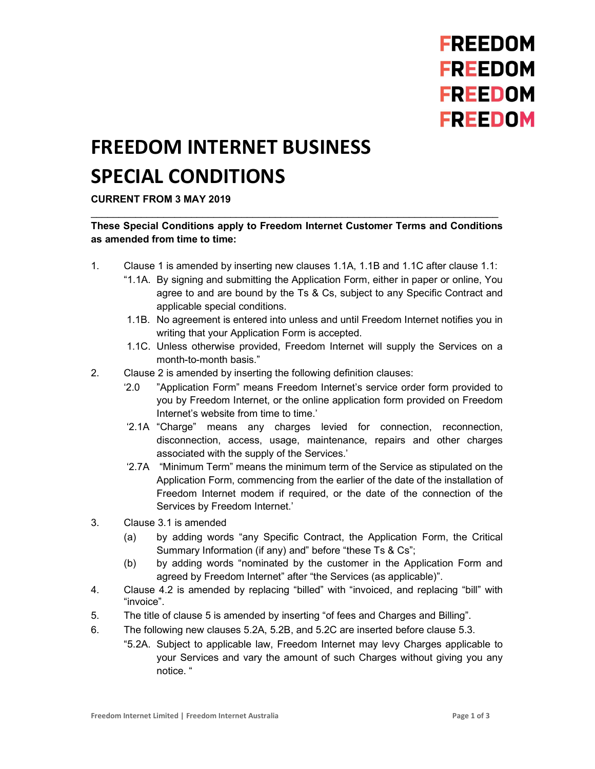## **FREEDOM FREEDOM FREEDOM FREEDOM**

## FREEDOM INTERNET BUSINESS SPECIAL CONDITIONS

## CURRENT FROM 3 MAY 2019

## These Special Conditions apply to Freedom Internet Customer Terms and Conditions as amended from time to time:

- 1. Clause 1 is amended by inserting new clauses 1.1A, 1.1B and 1.1C after clause 1.1:
	- "1.1A. By signing and submitting the Application Form, either in paper or online, You agree to and are bound by the Ts & Cs, subject to any Specific Contract and applicable special conditions.
	- 1.1B. No agreement is entered into unless and until Freedom Internet notifies you in writing that your Application Form is accepted.
	- 1.1C. Unless otherwise provided, Freedom Internet will supply the Services on a month-to-month basis."
- 2. Clause 2 is amended by inserting the following definition clauses:
	- '2.0 "Application Form" means Freedom Internet's service order form provided to you by Freedom Internet, or the online application form provided on Freedom Internet's website from time to time.'
	- '2.1A "Charge" means any charges levied for connection, reconnection, disconnection, access, usage, maintenance, repairs and other charges associated with the supply of the Services.'
	- '2.7A "Minimum Term" means the minimum term of the Service as stipulated on the Application Form, commencing from the earlier of the date of the installation of Freedom Internet modem if required, or the date of the connection of the Services by Freedom Internet.'
- 3. Clause 3.1 is amended
	- (a) by adding words "any Specific Contract, the Application Form, the Critical Summary Information (if any) and" before "these Ts & Cs";
	- (b) by adding words "nominated by the customer in the Application Form and agreed by Freedom Internet" after "the Services (as applicable)".
- 4. Clause 4.2 is amended by replacing "billed" with "invoiced, and replacing "bill" with "invoice".
- 5. The title of clause 5 is amended by inserting "of fees and Charges and Billing".
- 6. The following new clauses 5.2A, 5.2B, and 5.2C are inserted before clause 5.3.
	- "5.2A. Subject to applicable law, Freedom Internet may levy Charges applicable to your Services and vary the amount of such Charges without giving you any notice. "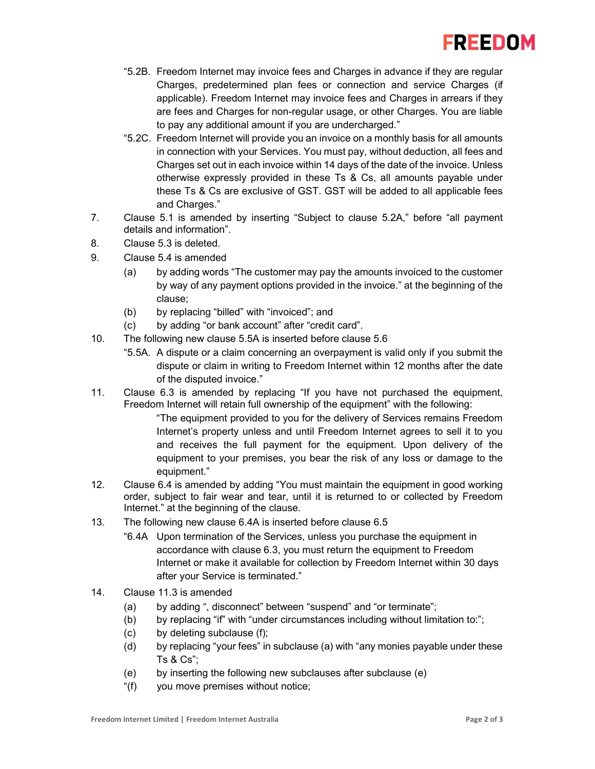

- "5.2B. Freedom Internet may invoice fees and Charges in advance if they are regular Charges, predetermined plan fees or connection and service Charges (if applicable). Freedom Internet may invoice fees and Charges in arrears if they are fees and Charges for non-regular usage, or other Charges. You are liable to pay any additional amount if you are undercharged."
- "5.2C. Freedom Internet will provide you an invoice on a monthly basis for all amounts in connection with your Services. You must pay, without deduction, all fees and Charges set out in each invoice within 14 days of the date of the invoice. Unless otherwise expressly provided in these Ts & Cs, all amounts payable under these Ts & Cs are exclusive of GST. GST will be added to all applicable fees and Charges."
- 7. Clause 5.1 is amended by inserting "Subject to clause 5.2A," before "all payment details and information".
- 8. Clause 5.3 is deleted.
- 9. Clause 5.4 is amended
	- (a) by adding words "The customer may pay the amounts invoiced to the customer by way of any payment options provided in the invoice." at the beginning of the clause;
	- (b) by replacing "billed" with "invoiced"; and
	- (c) by adding "or bank account" after "credit card".
- 10. The following new clause 5.5A is inserted before clause 5.6
	- "5.5A. A dispute or a claim concerning an overpayment is valid only if you submit the dispute or claim in writing to Freedom Internet within 12 months after the date of the disputed invoice."
- 11. Clause 6.3 is amended by replacing "If you have not purchased the equipment, Freedom Internet will retain full ownership of the equipment" with the following:

"The equipment provided to you for the delivery of Services remains Freedom Internet's property unless and until Freedom Internet agrees to sell it to you and receives the full payment for the equipment. Upon delivery of the equipment to your premises, you bear the risk of any loss or damage to the equipment."

- 12. Clause 6.4 is amended by adding "You must maintain the equipment in good working order, subject to fair wear and tear, until it is returned to or collected by Freedom Internet." at the beginning of the clause.
- 13. The following new clause 6.4A is inserted before clause 6.5
	- "6.4A Upon termination of the Services, unless you purchase the equipment in accordance with clause 6.3, you must return the equipment to Freedom Internet or make it available for collection by Freedom Internet within 30 days after your Service is terminated."
- 14. Clause 11.3 is amended
	- (a) by adding ", disconnect" between "suspend" and "or terminate";
	- (b) by replacing "if" with "under circumstances including without limitation to:";
	- (c) by deleting subclause (f);
	- (d) by replacing "your fees" in subclause (a) with "any monies payable under these Ts & Cs";
	- (e) by inserting the following new subclauses after subclause (e)
	- "(f) you move premises without notice;